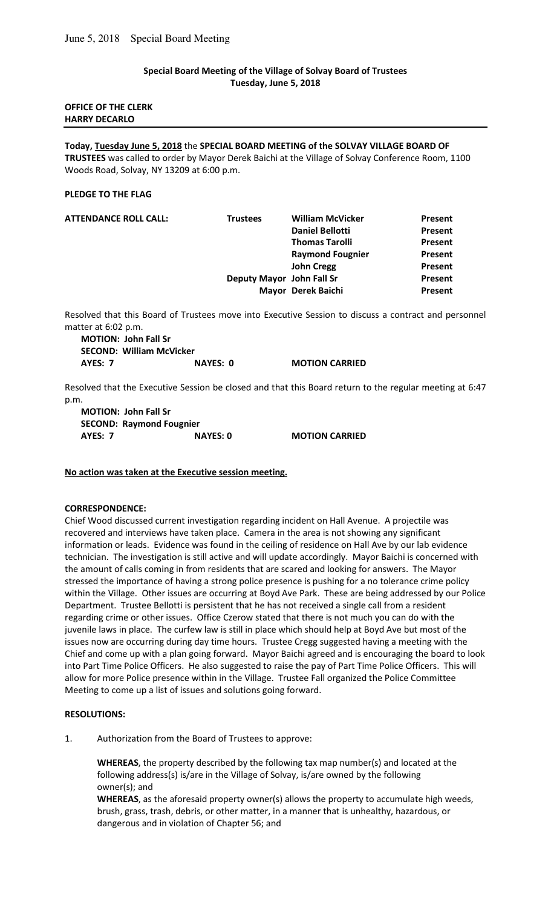## **Special Board Meeting of the Village of Solvay Board of Trustees Tuesday, June 5, 2018**

## **OFFICE OF THE CLERK HARRY DECARLO**

**Today, Tuesday June 5, 2018** the **SPECIAL BOARD MEETING of the SOLVAY VILLAGE BOARD OF TRUSTEES** was called to order by Mayor Derek Baichi at the Village of Solvay Conference Room, 1100 Woods Road, Solvay, NY 13209 at 6:00 p.m.

### **PLEDGE TO THE FLAG**

| <b>ATTENDANCE ROLL CALL:</b> | <b>Trustees</b>           | <b>William McVicker</b> | Present |
|------------------------------|---------------------------|-------------------------|---------|
|                              |                           | <b>Daniel Bellotti</b>  | Present |
|                              |                           | <b>Thomas Tarolli</b>   | Present |
|                              |                           | <b>Raymond Fougnier</b> | Present |
|                              |                           | <b>John Cregg</b>       | Present |
|                              | Deputy Mayor John Fall Sr |                         | Present |
|                              |                           | Mayor Derek Baichi      | Present |

Resolved that this Board of Trustees move into Executive Session to discuss a contract and personnel matter at 6:02 p.m.

**MOTION: John Fall Sr SECOND: William McVicker AYES: 7 NAYES: 0 MOTION CARRIED** 

Resolved that the Executive Session be closed and that this Board return to the regular meeting at 6:47 p.m.

**MOTION: John Fall Sr SECOND: Raymond Fougnier AYES: 7 NAYES: 0 MOTION CARRIED** 

### **No action was taken at the Executive session meeting.**

### **CORRESPONDENCE:**

Chief Wood discussed current investigation regarding incident on Hall Avenue. A projectile was recovered and interviews have taken place. Camera in the area is not showing any significant information or leads. Evidence was found in the ceiling of residence on Hall Ave by our lab evidence technician. The investigation is still active and will update accordingly. Mayor Baichi is concerned with the amount of calls coming in from residents that are scared and looking for answers. The Mayor stressed the importance of having a strong police presence is pushing for a no tolerance crime policy within the Village. Other issues are occurring at Boyd Ave Park. These are being addressed by our Police Department. Trustee Bellotti is persistent that he has not received a single call from a resident regarding crime or other issues. Office Czerow stated that there is not much you can do with the juvenile laws in place. The curfew law is still in place which should help at Boyd Ave but most of the issues now are occurring during day time hours. Trustee Cregg suggested having a meeting with the Chief and come up with a plan going forward. Mayor Baichi agreed and is encouraging the board to look into Part Time Police Officers. He also suggested to raise the pay of Part Time Police Officers. This will allow for more Police presence within in the Village. Trustee Fall organized the Police Committee Meeting to come up a list of issues and solutions going forward.

### **RESOLUTIONS:**

1. Authorization from the Board of Trustees to approve:

**WHEREAS**, the property described by the following tax map number(s) and located at the following address(s) is/are in the Village of Solvay, is/are owned by the following owner(s); and

**WHEREAS**, as the aforesaid property owner(s) allows the property to accumulate high weeds, brush, grass, trash, debris, or other matter, in a manner that is unhealthy, hazardous, or dangerous and in violation of Chapter 56; and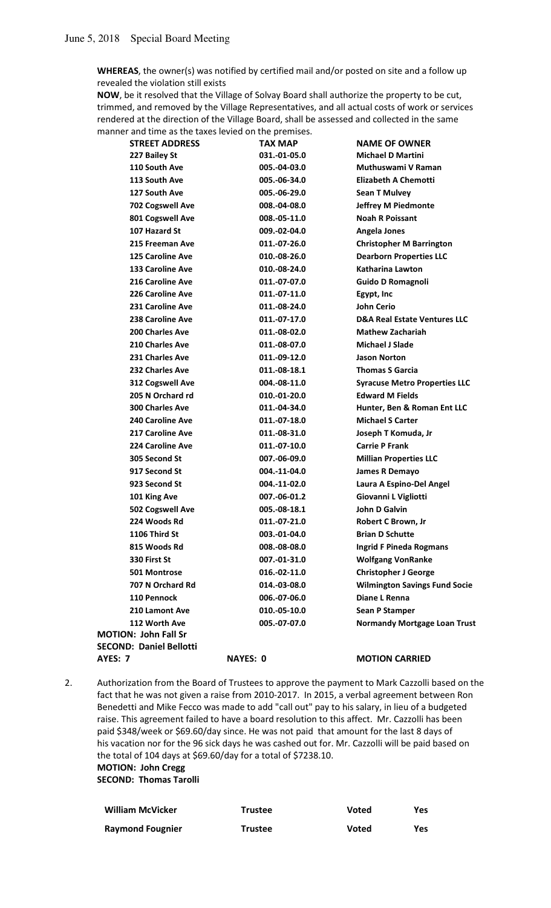**WHEREAS**, the owner(s) was notified by certified mail and/or posted on site and a follow up revealed the violation still exists

**NOW**, be it resolved that the Village of Solvay Board shall authorize the property to be cut, trimmed, and removed by the Village Representatives, and all actual costs of work or services rendered at the direction of the Village Board, shall be assessed and collected in the same manner and time as the taxes levied on the premises.

| <b>STREET ADDRESS</b>          | <b>TAX MAP</b>  | <b>NAME OF OWNER</b>                    |
|--------------------------------|-----------------|-----------------------------------------|
| 227 Bailey St                  | 031.-01-05.0    | <b>Michael D Martini</b>                |
| 110 South Ave                  | 005.-04-03.0    | Muthuswami V Raman                      |
| 113 South Ave                  | 005.-06-34.0    | <b>Elizabeth A Chemotti</b>             |
| 127 South Ave                  | 005.-06-29.0    | <b>Sean T Mulvey</b>                    |
| 702 Cogswell Ave               | 008.-04-08.0    | <b>Jeffrey M Piedmonte</b>              |
| <b>801 Cogswell Ave</b>        | 008.-05-11.0    | <b>Noah R Poissant</b>                  |
| 107 Hazard St                  | 009.-02-04.0    | <b>Angela Jones</b>                     |
| 215 Freeman Ave                | 011.-07-26.0    | <b>Christopher M Barrington</b>         |
| <b>125 Caroline Ave</b>        | 010.-08-26.0    | <b>Dearborn Properties LLC</b>          |
| <b>133 Caroline Ave</b>        | 010.-08-24.0    | <b>Katharina Lawton</b>                 |
| 216 Caroline Ave               | 011.-07-07.0    | <b>Guido D Romagnoli</b>                |
| <b>226 Caroline Ave</b>        | 011.-07-11.0    | Egypt, Inc                              |
| 231 Caroline Ave               | 011.-08-24.0    | <b>John Cerio</b>                       |
| 238 Caroline Ave               | 011.-07-17.0    | <b>D&amp;A Real Estate Ventures LLC</b> |
| 200 Charles Ave                | 011.-08-02.0    | <b>Mathew Zachariah</b>                 |
| 210 Charles Ave                | 011.-08-07.0    | <b>Michael J Slade</b>                  |
| 231 Charles Ave                | 011.-09-12.0    | <b>Jason Norton</b>                     |
| 232 Charles Ave                | 011.-08-18.1    | <b>Thomas S Garcia</b>                  |
| 312 Cogswell Ave               | 004.-08-11.0    | <b>Syracuse Metro Properties LLC</b>    |
| 205 N Orchard rd               | 010.-01-20.0    | <b>Edward M Fields</b>                  |
| <b>300 Charles Ave</b>         | 011.-04-34.0    | Hunter, Ben & Roman Ent LLC             |
| <b>240 Caroline Ave</b>        | 011.-07-18.0    | <b>Michael S Carter</b>                 |
| 217 Caroline Ave               | 011.-08-31.0    | Joseph T Komuda, Jr                     |
| <b>224 Caroline Ave</b>        | 011.-07-10.0    | <b>Carrie P Frank</b>                   |
| 305 Second St                  | 007.-06-09.0    | <b>Millian Properties LLC</b>           |
| 917 Second St                  | 004.-11-04.0    | James R Demayo                          |
| 923 Second St                  | 004.-11-02.0    | Laura A Espino-Del Angel                |
| 101 King Ave                   | 007.-06-01.2    | Giovanni L Vigliotti                    |
| 502 Cogswell Ave               | 005.-08-18.1    | <b>John D Galvin</b>                    |
| 224 Woods Rd                   | 011.-07-21.0    | Robert C Brown, Jr                      |
| 1106 Third St                  | 003.-01-04.0    | <b>Brian D Schutte</b>                  |
| 815 Woods Rd                   | 008.-08-08.0    | <b>Ingrid F Pineda Rogmans</b>          |
| 330 First St                   | 007.-01-31.0    | <b>Wolfgang VonRanke</b>                |
| 501 Montrose                   | 016.-02-11.0    | <b>Christopher J George</b>             |
| 707 N Orchard Rd               | 014.-03-08.0    | <b>Wilmington Savings Fund Socie</b>    |
| 110 Pennock                    | 006.-07-06.0    | Diane L Renna                           |
| 210 Lamont Ave                 | 010.-05-10.0    | <b>Sean P Stamper</b>                   |
| 112 Worth Ave                  | 005.-07-07.0    | <b>Normandy Mortgage Loan Trust</b>     |
| <b>MOTION: John Fall Sr</b>    |                 |                                         |
| <b>SECOND: Daniel Bellotti</b> |                 |                                         |
| <b>AYES: 7</b>                 | <b>NAYES: 0</b> | <b>MOTION CARRIED</b>                   |

2. Authorization from the Board of Trustees to approve the payment to Mark Cazzolli based on the fact that he was not given a raise from 2010-2017. In 2015, a verbal agreement between Ron Benedetti and Mike Fecco was made to add "call out" pay to his salary, in lieu of a budgeted raise. This agreement failed to have a board resolution to this affect. Mr. Cazzolli has been paid \$348/week or \$69.60/day since. He was not paid that amount for the last 8 days of his vacation nor for the 96 sick days he was cashed out for. Mr. Cazzolli will be paid based on the total of 104 days at \$69.60/day for a total of \$7238.10. **MOTION: John Cregg** 

 **SECOND: Thomas Tarolli** 

| <b>William McVicker</b> | <b>Trustee</b> | Voted | Yes |
|-------------------------|----------------|-------|-----|
| <b>Raymond Fougnier</b> | <b>Trustee</b> | Voted | Yes |